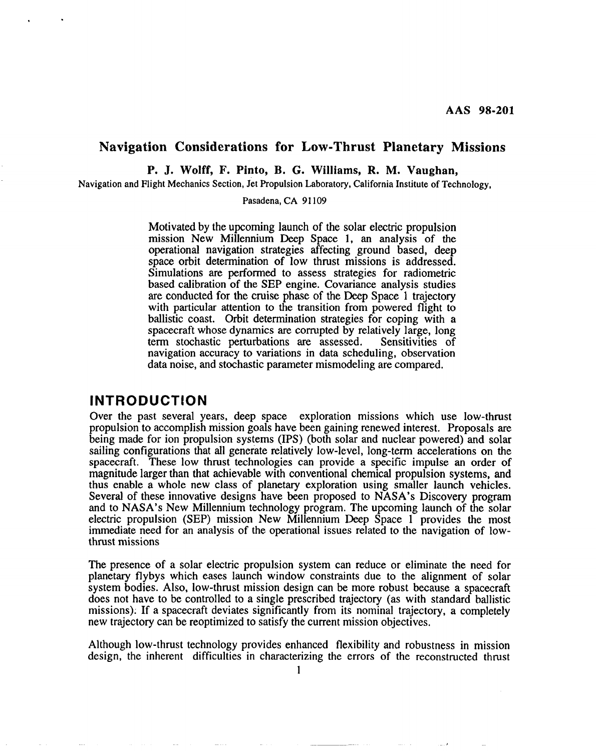#### **Navigation Considerations for Low-Thrust Planetary Missions**

**P. J. Wolff, F. Pinto, B. G. Williams, R. M. Vaughan,**

Navigation and Flight Mechanics Section, Jet Propulsion Laboratory, California Institute of Technology,

Pasadena, CA 91109

Motivated by the upcoming launch of the solar electric propulsion mission New Millennium Deep Space 1, an analysis of the operational navigation strategies affecting ground based, deep space orbit determination of low thrust missions is addressed. Simulations are performed to assess strategies for radiometric based calibration of the SEP engine. Covariance analysis studies are conducted for the cruise phase of the Deep Space 1 trajectory with particular attention to the transition from powered flight to ballistic coast. Orbit determination strategies for coping with a spacecraft whose dynamics are corrupted by relatively large, long<br>term stochastic perturbations are assessed. Sensitivities of term stochastic perturbations are assessed. navigation accuracy to variations in data scheduling, observation data noise, and stochastic parameter mismodeling are compared,

#### **INTRODUCTION**

.

.

Over the past several years, deep space exploration missions which use low-thrust propulsion to accomplish mission goals have been gaining renewed interest. Proposals are being made for ion propulsion systems (IPS) (both solar and nuclear powered) and solar sailing configurations that all generate relatively low-level, long-term accelerations on the spacecraft, These low thrust technologies can provide a specific impulse an order of magnitude larger than that achievable with conventional chemical propulsion systems, and thus enable a whole new class of planetary exploration using smaller launch vehicles, Several of these innovative designs have been proposed to NASA's Discovery program and to NASA's New Millennium technology program. The upcoming launch of the solar electric propulsion (SEP) mission New Millennium Deep Space 1 provides the most immediate need for an analysis of the operational issues related to the navigation of lowthrust missions

The presence of a solar electric propulsion system can reduce or eliminate the need for planetary flybys which eases launch window constraints due to the alignment of solar system bodies. Also, low-thrust mission design can be more robust because a spacecraft does not have to be controlled to a single prescribed trajectory (as with standard ballistic missions): If a spacecraft deviates significantly from its nominal trajectory, a completely new trajectory can be reoptimized to satisfy the current mission objectives,

Although low-thrust technology provides enhanced flexibility and robustness in mission design, the inherent difficulties in characterizing the errors of the reconstructed thrust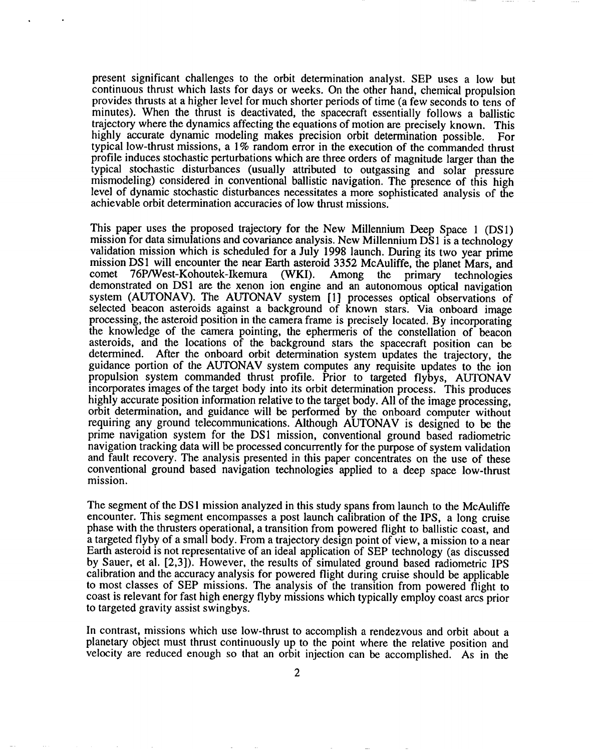present significant challenges to the orbit determination analyst. SEP uses a low but continuous thrust which lasts for days or weeks, On the other hand, chemical propulsion provides thrusts at a higher level for much shorter periods of time (a few seconds to tens of minutes). When the thrust is deactivated, the spacecraft essentially follows a ballistic trajectory where the dynamics affecting the equations of motion are precisely known. This highly accurate dynamic modeling makes precision orbit determination possible. For typical low-thrust missions, a 1% random error in the execution of the commanded thrust profile induces stochastic perturbations which are three orders of magnitude larger than the typical stochastic disturbances (usually attributed to outgassing and solar pressure mismodeling) considered in conventional ballistic navigation. The presence of this high level of dynamic stochastic disturbances necessitates a more sophisticated analysis of the achievable orbit determination accuracies of low thrust missions.

This paper uses the proposed trajectory for the New Millennium Deep Space 1 (DS1) mission for data simulations and covariance analysis. New Millennium DS 1 is a technology validation mission which is scheduled for a July 1998 launch. During its two year prime mission DS1 will encounter the near Earth asteroid 3352 McAuliffe, the planet Mars, and comet 76P/West-Kohoutek-Ikemura (WKI). Among the primary technologies Among the primary technologies demonstrated on DS1 are the xenon ion engine and an autonomous optical navigation system (AUTONAV). The AUTONAV system [1] processes optical observations of selected beacon asteroids against a background of known stars. Via onboard image processing, the asteroid position in the camera frame is precisely located, By incorporating the knowledge of the camera pointing, the ephemeris of the constellation of beacon asteroids, and the locations of the background stars the spacecraft position can be determined. After the onboard orbit determination system updates the trajectory, the guidance portion of the AUTONAV system computes any requisite updates to the ion propulsion system commanded thrust profile. Prior to targeted flybys, AUTONAV incorporates images of the target body into its orbit determination process. This produces highly accurate position information relative to the target body. All of the image processing, orbit determination, and guidance will be performed by the onboard computer without requiring any ground telecommunications. Although AUTONAV is designed to be the prime navigation system for the DS1 mission, conventional ground based radiometric navigation tracking data will be processed concurrently for the purpose of system validation and fault recovery. The analysis presented in this paper concentrates on the use of these conventional ground based navigation technologies applied to a deep space low-thrust mission.

The segment of the DS1 mission analyzed in this study spans from launch to the McAuliffe encounter. This segment encompasses a post launch calibration of the IPS, a long cruise phase with the thrusters operational, a transition from powered flight to ballistic coast, and a targeted flyby of a small body. From a trajectory design point of view, a mission to a near Earth asteroid is not representative of an ideal application of SEP technology (as discussed by Sauer, et al. [2,3]). However, the results of simulated ground based radiometric IPS calibration and the accuracy analysis for powered flight during cruise should be applicable to most classes of SEP missions. The analysis of the transition from powered flight to coast is relevant for fast high energy flyby missions which typically employ coast arcs prior to targeted gravity assist swingbys.

In contrast, missions which use low-thrust to accomplish a rendezvous and orbit about a planetary object must thrust continuously up to the point where the relative position and velocity are reduced enough so that an orbit injection can be accomplished. As in the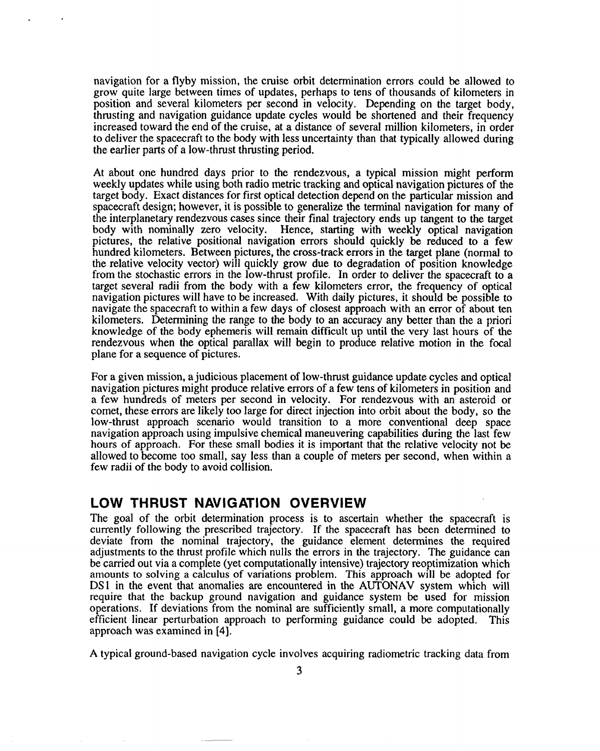navigation for a flyby mission, the cruise orbit determination errors could be allowed to grow quite large between times of updates, perhaps to tens of thousands of kilometers in position and several kilometers per second in velocity. Depending on the target body, thrusting and navigation guidance update cycles would be shortened and their frequency increased toward the end of the cruise, at a distance of several million kilometers, in order to deliver the spacecraft to the body with less uncertainty than that typically allowed during the earlier parts of a low-thrust thrusting period.

At about one hundred days prior to the rendezvous, a typical mission might perform weekty updates while using both radio metric tracking and optical navigation pictures of the target body. Exact distances for first optical detection depend on the particular mission and spacecraft design; however, it is possible to generalize the terminal navigation for many of the interplanetary rendezvous cases since their final trajectory ends up tangent to the target body with nominally zero velocity. Hence, starting with weekly optical navigation pictures, the relative positionat navigation errors should quickly be reduced to a few hundred kilometers. Between pictures, the cross-track errors in the target plane (normat to the relative velocity vector) will quickly grow due to degradation of position knowledge from the stochastic errors in the low-thrust profile. In order to deliver the spacecraft to a target several radii from the body with a few kilometers error, the frequency of optical navigation pictures will have to be increased. With daily pictures, it should be possible to navigate the spacecraft to within a few days of closest approach with an error of about ten kilometers. Determining the range to the body to an accuracy any better than the a priori knowledge of the body ephemeris will remain difficult up until the very last hours of the rendezvous when the optical parallax will begin to produce relative motion in the focal plane for a sequence of pictures.

For a given mission, a judicious placement of low-thrust guidance update cycles and optical navigation pictures might produce relative errors of a few tens of kilometers in position and a few hundreds of meters per second in velocity. For rendezvous with an asteroid or comet, these errors are likely too large for direct injection into orbit about the body, so the low-thrust approach scenario would transition to a more conventional deep space navigation approach using impulsive chemical maneuvering capabilities during the last few hours of approach. For these small bodies it is important that the relative velocity not be allowed to become too small, say less than a couple of meters per second, when within a few radii of the body to avoid collision,

#### **LOW THRUST NAVIGATION OVERVIEW**

The goal of the orbit determination process is to ascertain whether the spacecraft is currently following the prescribed trajectory. If the spacecraft has been determined to deviate from the nominal trajectory, the guidance element determines the required adjustments to the thrust profile which nulls the errors in the trajectory. The guidance can be carried out via a complete (yet computationally intensive) trajectory reoptimization which amounts to solving a calculus of variations problem. This approach will be adopted for DS1 in the event that anomalies are encountered in the AUTONAV system which will require that the backup ground navigation and guidance system be used for mission operations. If deviations from the nominal are sufficiently small, a more computationally efficient linear perturbation approach to performing guidance could be adopted. This approach was examined in [4].

A typical ground-based navigation cycle involves acquiring radiometric tracking data from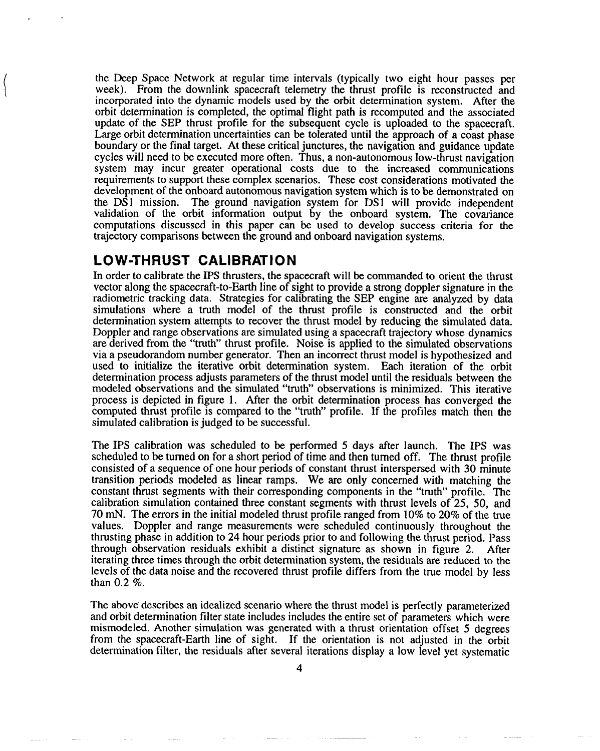the Deep Space Network at regular time intervals (typically two eight hour passes per week). From the downlink spacecraft telemetry the thrust profile is reconstructed and incorporated into the dynamic models used by the orbit determination system. Afler the orbit determination is completed, the optimal flight path is recomputed and the associated update of the SEP thrust profile for the subsequent cycle is uploaded to the spacecraft. Large orbit determination uncertainties can be tolerated until the approach of a coast phase boundary or the final target. At these critical junctures, the navigation and guidance update cycles will need to be executed more often. Thus, a non-autonomous low-thrust navigation system may incur greater operational costs due to the increased communications requirements to support these complex scenarios. These cost considerations motivated the development of the onboard autonomous navigation system which is to be demonstrated on the DS1 mission. The ground navigation system for DS1 will provide independent validation of the orbit information output by the onboard system. The covariance computations discussed in this paper can be used to develop success criteria for the trajectory comparisons between the ground and onboard navigation systems.

## **LOW-THRUST CALIBRATION**

In order to calibrate the IPS thrusters, the spacecraft will be commanded to orient the thrust vector along the spacecraft-to-Earth line of sight to provide a strong doppler signature in the radiometric tracking data. Strategies for calibrating the SEP engine are analyzed by data simulations where a truth model of the thrust profile is constructed and the orbit determination system attempts to recover the thrust model by reducing the simulated data. Doppler and range observations are simulated using a spacecraft trajectory whose dynamics are derived from the "truth" thrust profile. Noise is applied to the simulated observations via a pseudorandom number generator. Then an incorrect thrust model is hypothesized and used to initialize the iterative orbit determination system, Each iteration of the orbit determination process adjusts parameters of the thrust model until the residuals between the modeled observations and the simulated "truth" observations is minimized. This iterative process is depicted in figure 1. After the orbit determination process has converged the computed thrust profile is compared to the "truth" profile. If the profiles match then the simulated calibration is judged to be successful.

The IPS calibration was scheduled to be performed 5 days after launch. The IPS was scheduled to be turned on for a short period of time and then turned off. The thrust profile consisted of a sequence of one hour periods of constant thrust interspersed with 30 minute transition periods modeled as linear ramps. We are only concerned with matching the constant thrust segments with their corresponding components in the "truth" profile. The calibration simulation contained three constant segments with thrust levels of 25, 50, and 70 mN. The errors in the initial modeled thrust profile ranged from 10% to 20% of the true values. Doppler and range measurements were scheduled continuously throughout the thrusting phase in addition to 24 hour periods prior to and following the thrust period. Pass through observation residuals exhibit a distinct signature as shown in figure 2. After iterating three times through the orbit determination system, the residuals are reduced to the levels of the data noise and the recovered thrust profile differs from the true model by less than 0.2 %.

The above describes an idealized scenario where the thrust model is perfectly parameterized and orbit determination filter state includes includes the entire set of parameters which were mismodeled. Another simulation was generated with a thrust orientation offset 5 degrees from the spacecraft-Earth line of sight. If the orientation is not adjusted in the orbit determination filter, the residuals after several iterations display a low level yet systematic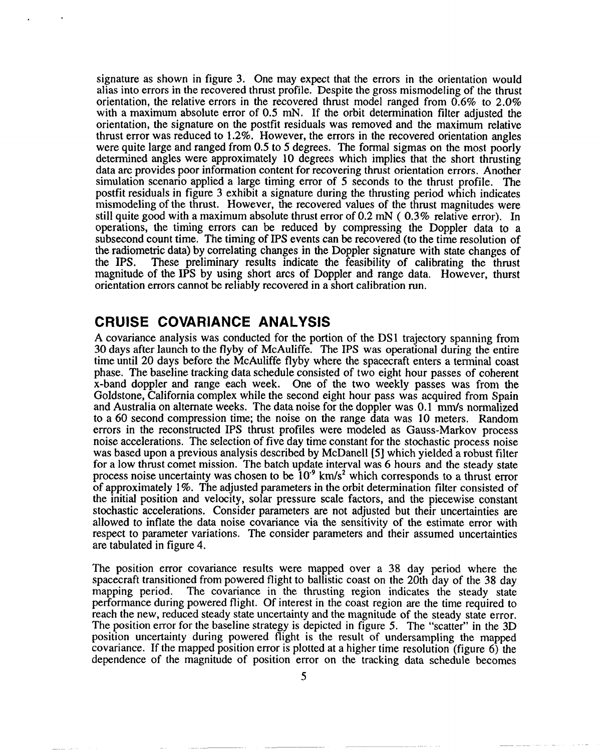signature as shown in figure 3. One may expect that the errors in the orientation would signature as snown in figure 5. One may expect that the errors in the orientation would alias into errors in the recovered thrust profile. Despite the gross mismodeling of the thrust orientation, the relative errors in the recovered thrust model ranged from  $0.6\%$  to  $2.0\%$ with a maximum absolute error of  $0.5$  mN. If the orbit determination filter adjusted the orientation, the signature on the postfit residuals was removed and the maximum relative thrust error was reduced to  $1.2\%$ . However, the errors in the recovered orientation angles were quite large and ranged from  $0.5$  to 5 degrees. The formal sigmas on the most poorly determined angles were approximately 10 degrees which implies that the short thrusting data arc provides poor information content for recovering thrust orientation errors. Another simulation scenario applied a large timing error of 5 seconds to the thrust profile. The postfit residuals in figure 3 exhibit a signature during the thrusting period which indicates mismodeling of the thrust. However, the recovered values of the thrust magnitudes were still quite good with a maximum absolute thrust error of 0.2 mN ( $0.3\%$  relative error). In operations, the timing errors can be reduced by compressing the Doppler data to a subsecond count time. The timing of IPS events can be recovered (to the time resolution of the radiometric data) by correlating changes in the Doppler signature with state changes of the IPS. These preliminary results indicate the feasibility of calibrating the thrust These preliminary results indicate the feasibility of calibrating the thrust magnitude of the IPS by using short arcs of Doppler and range data. However, thurst orientation errors cannot be reliably recovered in a short calibration run.

### **CRUISE COVARIANCE ANALYSIS**

A covariance analysis was conducted for the portion of the DS1 trajectory spanning from A covariance analysis was conqueted for the portion of the DST trajectory spanning from 30 days after launch to the flyby of McAuliffe. The IPS was operational during the entire time until 20 days before the McAuliffe flyby where the spacecraft enters a terminal coast phase. The baseline tracking data schedule consisted of two eight hour passes of coherent x-band doppler and range each week. One of the two weekly passes was from the Goldstone, California complex while the second eight hour pass was acquired from Spain and Australia on alternate weeks. The data noise for the doppler was 0.1 mm/s normalized to a 60 second compression time; the noise on the range data was 10 meters. Random errors in the reconstructed IPS thrust profiles were modeled as Gauss-Markov process noise accelerations. The selection of five day time constant for the stochastic process noise was based upon a previous analysis described by McDanell [5] which yielded a robust filter<br>for a low thrust comet mission. The batch update interval was 6 hours and the steady state process noise uncertainty was chosen to be 10<sup>9</sup> km/s<sup>2</sup> which corresponds to a the steady state process noise uncertainty was chosen to be 10° kin/s° which corresponds to a thrust error of approximately  $1\%$ . The adjusted parameters in the orbit determination filter consisted of the initial position and velocity, solar pressure scale factors, and the piecewise constant stochastic accelerations. Consider parameters are not adjusted but their uncertainties are allowed to inflate the data noise covariance via the sensitivity of the estimate error with respect to parameter variations. The consider parameters and their assumed uncertainties are tabulated in figure 4.

The position error covariance results were mapped over a 38 day period where the The position error covariance results were mapped over a 38 day period where the spacecraft transitioned from powered flight to ballistic coast on the 20th day of the 38 day mapping period. The covariance in the thrusting region indicates the steady state The covariance in the thrusting region indicates the steady state performance during powered flight. Of interest in the coast region are the time required to reach the new, reduced steady state uncertainty and the magnitude of the steady state error. The position error for the baseline strategy is depicted in figure 5. The "scatter" in the 3D position uncertainty during powered flight is the result of undersampling the mapped covariance. If the mapped position error is plotted at a higher time resolution (figure  $6$ ) the dependence of the magnitude of position error on the tracking data schedule becomes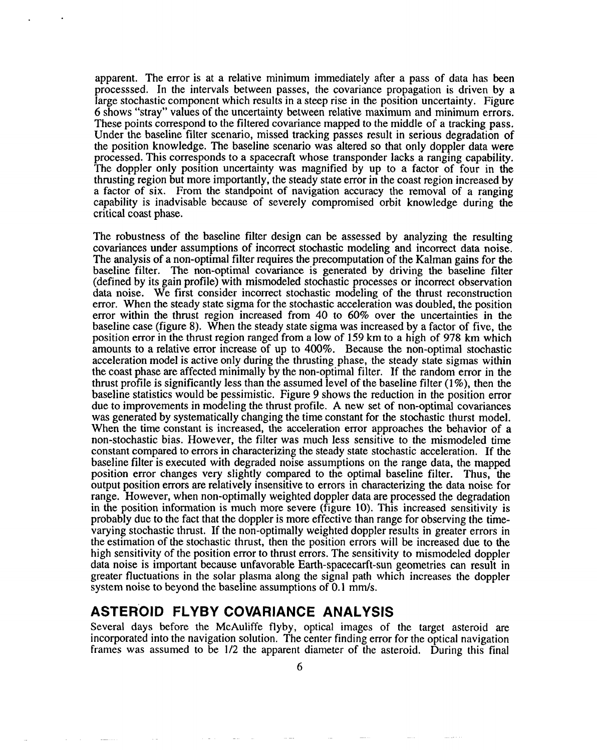apparent. The error is at a relative minimum immediately after a pass of data has been processed. In the intervals between passes, the covariance propagation is driven by a large stochastic component which results in a steep rise in the position uncertainty. Figure 6 shows "stray" values of the uncertainty between relative maximum and minimum errors. These points correspond to the filtered covariance mapped to the middle of a tracking pass, Under the baseline filter scenario, missed tracking passes result in serious degradation of the position knowledge. The baseline scenario was altered so that only doppler data were processed. This corresponds to a spacecraft whose transponder lacks a ranging capability. The doppler only position uncertainty was magnified by up to a factor of four in the thrusting region but more importantly, the steady state error in the coast region increased by a factor of six. From the standpoint of navigation accuracy the removal of a ranging capability is inadvisable because of severely compromised orbit knowledge during the critical coast phase.

The robustness of the baseline filter design can be assessed by analyzing the resulting covariances under assumptions of incorrect stochastic modeling and incorrect data noise. The analysis of a non-optimal filter requires the precomputation of the Kalman gains for the baseline filter. The non-optimal covariance is generated by driving the baseline filter (defined by its gain profile) with mismodeled stochastic processes or incorrect observation data noise. We first consider incorrect stochastic modeling of the thrust reconstruction error. When the steady state sigma for the stochastic acceleration was doubled, the position error within the thrust region increased from 40 to 60% over the uncertainties in the baseline case (figure 8). When the steady state sigma was increased by a factor of five, the position error in the thrust region ranged from a low of 159 km to a high of 978 km which amounts to a relative error increase of up to 400%. Because the non-optimal stochastic acceleration model is active only during the thrusting phase, the steady state sigmas within the coast phase are affected minimally by the non-optimal filter. If the random error in the thrust profile is significantly less than the assumed level of the baseline filter  $(1\%)$ , then the baseline statistics would be pessimistic. Figure 9 shows the reduction in the position error due to improvements in modeling the thrust profile. A new set of non-optimal covariances was generated by systematically changing the time constant for the stochastic thurst model, When the time constant is increased, the acceleration error approaches the behavior of a non-stochastic bias. However, the filter was much less sensitive to the mismodeled time constant compared to errors in characterizing the steady state stochastic acceleration. If the baseline filter is executed with degraded noise assumptions on the range data, the mapped position error changes very slightly compared to the optimal baseline filter. Thus, the output position errors are relatively insensitive to errors in characterizing the data noise for range. However, when non-optimally weighted doppler data are processed the degradation in the position information is much more severe (figure 10). This increased sensitivity is probably due to the fact that the doppler is more effective than range for observing the timevarying stochastic thrust, If the non-optimally weighted doppler results in greater errors in the estimation of the stochastic thrust, then the position errors will be increased due to the high sensitivity of the position error to thrust errors. The sensitivity to mismodeled doppler data noise is important because unfavorable Earth-spacecarft-sun geometries can result in greater fluctuations in the solar plasma along the signal path which increases the doppler system noise to beyond the baseline assumptions of 0.1 mm/s.

### **ASTEROID FLYBY COVARIANCE ANALYSIS**

Several days before the McAuliffe flyby, optical images of the target asteroid are incorporated into the navigation solution. The center finding error for the optical navigation frames was assumed to be 1/2 the apparent diameter of the asteroid, During this final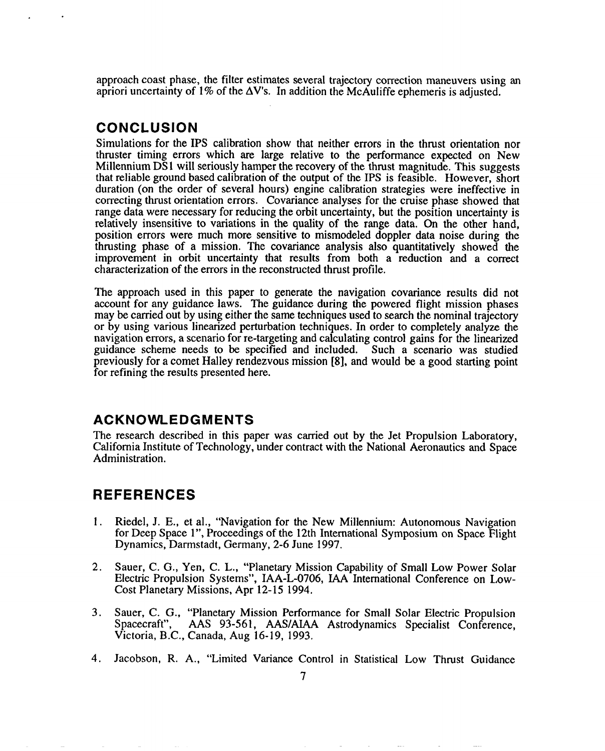approach coast phase, the filter estimates several trajectory correction maneuvers using an apriori uncertainty of 1% of the  $\Delta V$ 's. In addition the McAuliffe ephemeris is adjusted.

### **CONCLUSION**

Simulations for the IPS calibration show that neither errors in the thrust orientation nor thruster timing errors which are large relative to the performance expected on New Millennium DS1 will seriously hamper the recovery of the thrust magnitude. This suggests that reliable ground based calibration of the output of the IPS is feasible. However, short duration (on the order of several hours) engine calibration strategies were ineffective in correcting thrust orientation errors. Covariance analyses for the cruise phase showed that range data were necessary for reducing the orbit uncertainty, but the position uncertainty is relatively insensitive to variations in the quality of the range data. On the other hand, position errors were much more sensitive to mismodeled doppler data noise during the thrusting phase of a mission. The covariance analysis also quantitatively showed the improvement in orbit uncertainty that results from both a reduction and a correct characterization of the errors in the reconstructed thrust profile.

The approach used in this paper to generate the navigation covariance results did not account for any guidance laws. The guidance during the powered flight mission phases may be carried out by using either the same techniques used to search the nominal trajectory or by using various linearized perturbation techniques. In order to completely analyze the navigation errors, a scenario for re-targeting and calculating control gains for the linearized guidance scheme needs to be specified and included. Such a scenario was studied previously for a comet Halley rendezvous mission [8], and would be a good starting point for refining the results presented here.

### **ACKNOWLEDGMENTS**

The research described in this paper was carried out by the Jet Propulsion Laboratory, California Institute of Technology, under contract with the National Aeronautics and Space Administration.

# **REFERENCES**

- 1. Riedel, J. E., et al., "Navigation for the New Millennium: Autonomous Navigation for Deep Space 1", Proceedings of the 12th International Symposium on Space Flight Dynamics, Darrnstadt, Germany, 2-6 June 1997.
- 2. Sauer, C. G., Yen, C. L,, "Planetary Mission Capability of Small Low Power Solar Electric Propulsion Systems", IAA-L-0706, IAA International Conference on Low-Cost Planetary Missions, Apr 12-151994.
- 3. Sauer, C. G., "Planetary Mission Performance for Small Solar Electric Propulsion Spacecraft", AAS 93-561, AAS/AIAA Astrodynamics Specialist Conference, Victoria, B.C., Canada, Aug 16-19, 1993.
- 4. Jacobson, R. A., "Limited Variance Control in Statistical Low Thrust Guidance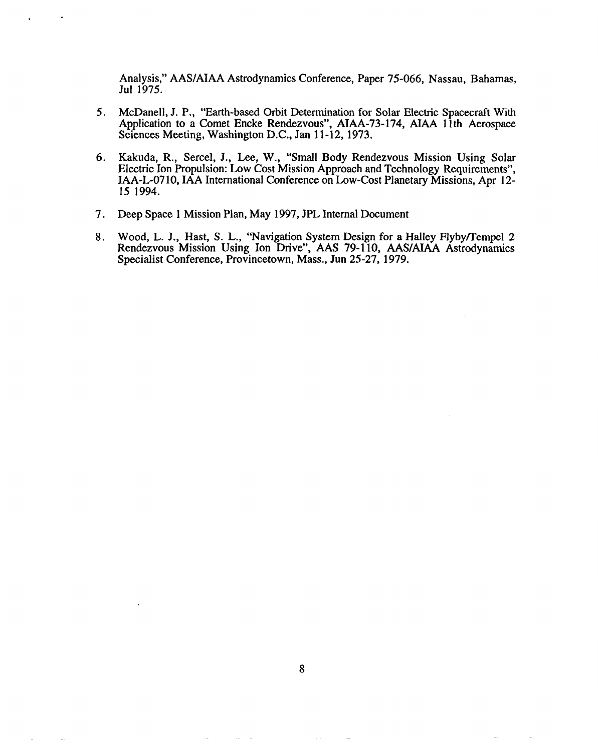Analysis:' AAS/AIAA Astrodynamics Conference, Paper 75-066, Nassau, Bahamas, Jul 1975.

- 5. McDanell, J. P., "Earth-based Orbit Determination for Solar Electric Spacecraft With Application to a Comet Encke Rendezvous", AIAA-73- 174, AIAA 1lth Aerospace Sciences Meeting, Washington D,C., Jan 11-12, 1973,
- 6. Kakuda, R., Sercel, J., Lee, W., "Small Body Rendezvous Mission Using Solar Electric Ion Propulsion: Low Cost Mission Approach and Technology Requirements", IAA-L-0710, IAA International Conference on Low-Cost Planetary Missions, Apr 12-151994.
- 7. Deep Space 1 Mission Plan, May 1997, JPL Internal Document
- 8. Wood, L. J., Hast, S. L., "Navigation System Design for a Halley Flyby/Tempel 2 Rendezvous Mission Using Ion Drive", AAS 79-110, AAS/AIAA Astrodynamics Specialist Conference, Provincetown, Mass., Jun 25-27, 1979.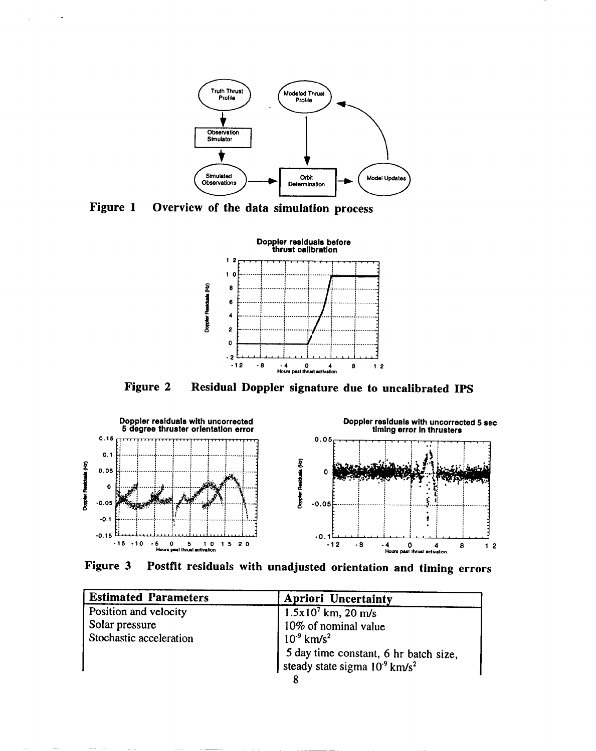

Figure 1 Overview of the data simulation process

 $\cdot$ 

÷.



Figure 2 Residual Doppler signature due to uncalibrated IPS



Postfit residuals with unadjusted orientation and timing errors Figure 3

| <b>Estimated Parameters</b> | <b>Apriori Uncertainty</b>                            |
|-----------------------------|-------------------------------------------------------|
| Position and velocity       | $1.5x10^7$ km, 20 m/s                                 |
| Solar pressure              | 10% of nominal value                                  |
| Stochastic acceleration     | $10^{9}$ km/s <sup>2</sup>                            |
|                             | 5 day time constant, 6 hr batch size,                 |
|                             | steady state sigma 10 <sup>-9</sup> km/s <sup>2</sup> |
|                             |                                                       |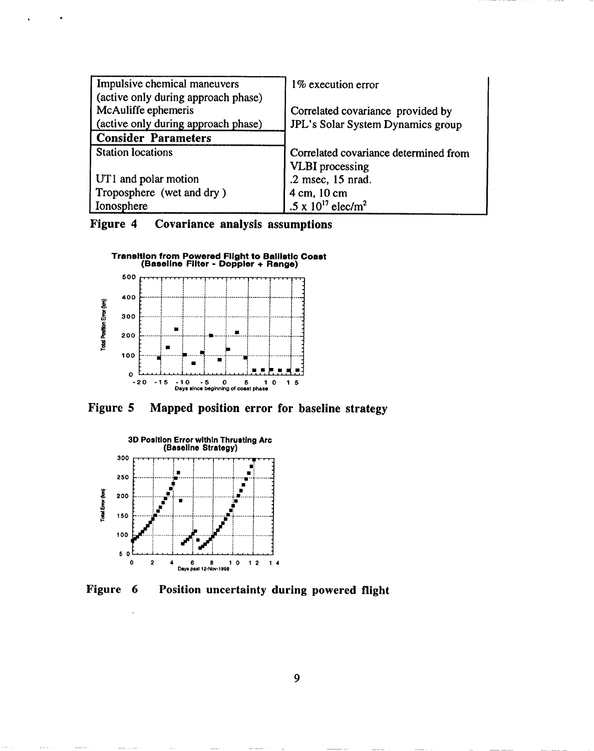| Impulsive chemical maneuvers        | 1% execution error                    |
|-------------------------------------|---------------------------------------|
| (active only during approach phase) |                                       |
| McAuliffe ephemeris                 | Correlated covariance provided by     |
| (active only during approach phase) | JPL's Solar System Dynamics group     |
| <b>Consider Parameters</b>          |                                       |
| <b>Station locations</b>            | Correlated covariance determined from |
|                                     | <b>VLBI</b> processing                |
| UT1 and polar motion                | .2 msec, 15 nrad.                     |
| Troposphere (wet and dry)           | 4 cm, 10 cm                           |
| Ionosphere                          | .5 x $10^{17}$ elec/m <sup>2</sup>    |

Figure 4 Covariance analysis assumptions



Figure 5 Mapped position error for baseline strategy



Figure 6 Position uncertainty during powered flight

9